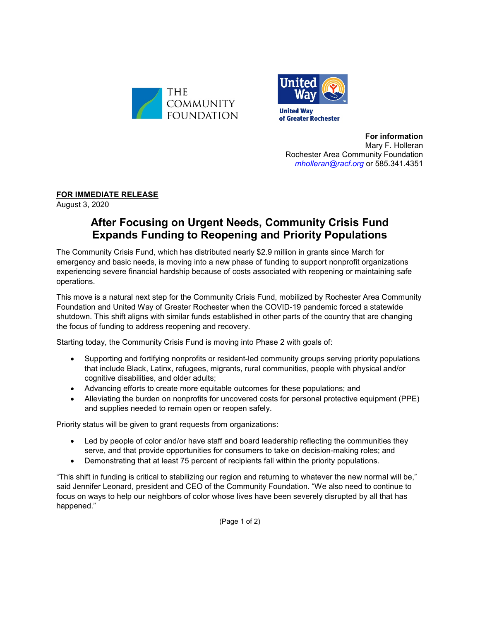



**For information** Mary F. Holleran Rochester Area Community Foundation *[mholleran@racf.org](mailto:mholleran@racf.org)* or 585.341.4351

**FOR IMMEDIATE RELEASE**

August 3, 2020

## **After Focusing on Urgent Needs, Community Crisis Fund Expands Funding to Reopening and Priority Populations**

The Community Crisis Fund, which has distributed nearly \$2.9 million in grants since March for emergency and basic needs, is moving into a new phase of funding to support nonprofit organizations experiencing severe financial hardship because of costs associated with reopening or maintaining safe operations.

This move is a natural next step for the Community Crisis Fund, mobilized by Rochester Area Community Foundation and United Way of Greater Rochester when the COVID-19 pandemic forced a statewide shutdown. This shift aligns with similar funds established in other parts of the country that are changing the focus of funding to address reopening and recovery.

Starting today, the Community Crisis Fund is moving into Phase 2 with goals of:

- Supporting and fortifying nonprofits or resident-led community groups serving priority populations that include Black, Latinx, refugees, migrants, rural communities, people with physical and/or cognitive disabilities, and older adults;
- Advancing efforts to create more equitable outcomes for these populations; and
- Alleviating the burden on nonprofits for uncovered costs for personal protective equipment (PPE) and supplies needed to remain open or reopen safely.

Priority status will be given to grant requests from organizations:

- Led by people of color and/or have staff and board leadership reflecting the communities they serve, and that provide opportunities for consumers to take on decision-making roles; and
- Demonstrating that at least 75 percent of recipients fall within the priority populations.

"This shift in funding is critical to stabilizing our region and returning to whatever the new normal will be," said Jennifer Leonard, president and CEO of the Community Foundation. "We also need to continue to focus on ways to help our neighbors of color whose lives have been severely disrupted by all that has happened."

(Page 1 of 2)